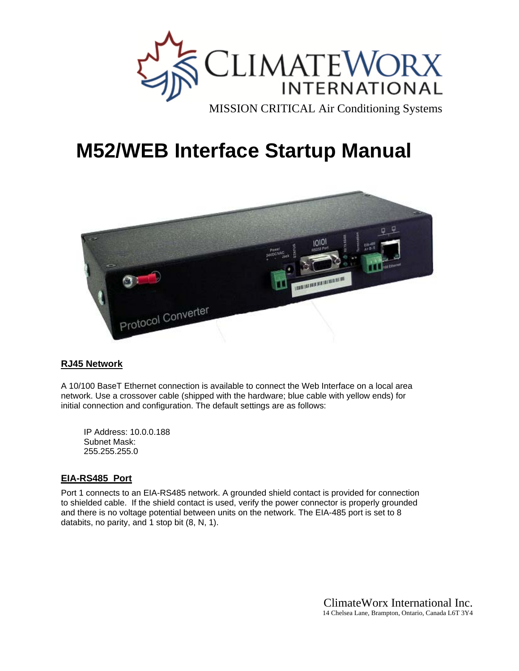

# **M52/WEB Interface Startup Manual**



## **RJ45 Network**

A 10/100 BaseT Ethernet connection is available to connect the Web Interface on a local area network. Use a crossover cable (shipped with the hardware; blue cable with yellow ends) for initial connection and configuration. The default settings are as follows:

IP Address: 10.0.0.188 Subnet Mask: 255.255.255.0

## **EIA-RS485 Port**

Port 1 connects to an EIA-RS485 network. A grounded shield contact is provided for connection to shielded cable. If the shield contact is used, verify the power connector is properly grounded and there is no voltage potential between units on the network. The EIA-485 port is set to 8 databits, no parity, and 1 stop bit (8, N, 1).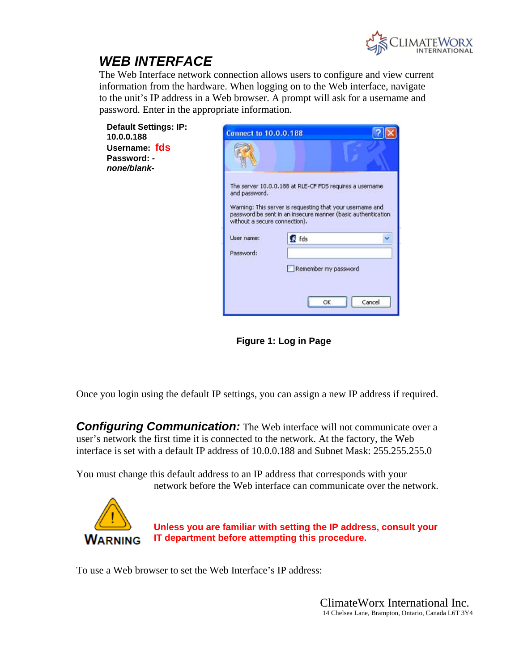

## *WEB INTERFACE*

The Web Interface network connection allows users to configure and view current information from the hardware. When logging on to the Web interface, navigate to the unit's IP address in a Web browser. A prompt will ask for a username and password. Enter in the appropriate information.

| <b>Default Settings: IP:</b> |
|------------------------------|
| 10.0.0.188                   |
| Username: fds                |
| Password: -                  |
| none/blank-                  |
|                              |



**Figure 1: Log in Page**

Once you login using the default IP settings, you can assign a new IP address if required.

**Configuring Communication:** The Web interface will not communicate over a user's network the first time it is connected to the network. At the factory, the Web interface is set with a default IP address of 10.0.0.188 and Subnet Mask: 255.255.255.0

You must change this default address to an IP address that corresponds with your network before the Web interface can communicate over the network.



**Unless you are familiar with setting the IP address, consult your IT department before attempting this procedure.** 

To use a Web browser to set the Web Interface's IP address: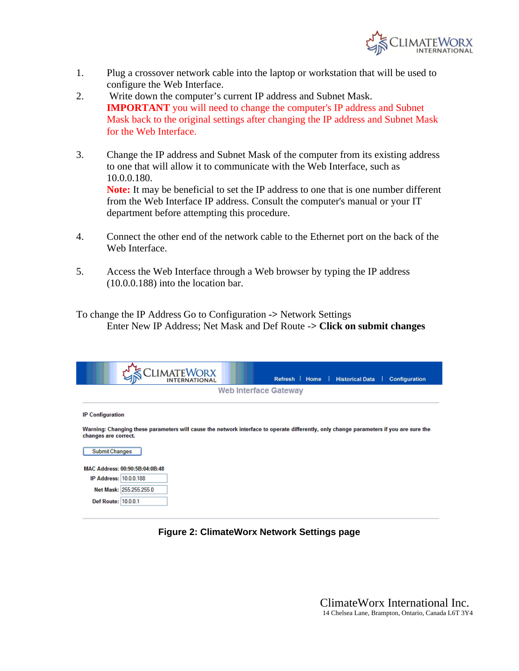

- 1. Plug a crossover network cable into the laptop or workstation that will be used to configure the Web Interface.
- 2. Write down the computer's current IP address and Subnet Mask. **IMPORTANT** you will need to change the computer's IP address and Subnet Mask back to the original settings after changing the IP address and Subnet Mask for the Web Interface.
- 3. Change the IP address and Subnet Mask of the computer from its existing address to one that will allow it to communicate with the Web Interface, such as 10.0.0.180. **Note:** It may be beneficial to set the IP address to one that is one number different from the Web Interface IP address. Consult the computer's manual or your IT department before attempting this procedure.
- 4. Connect the other end of the network cable to the Ethernet port on the back of the Web Interface.
- 5. Access the Web Interface through a Web browser by typing the IP address (10.0.0.188) into the location bar.

To change the IP Address Go to Configuration **->** Network Settings Enter New IP Address; Net Mask and Def Route -**> Click on submit changes**

|                               |                                | <b>CLIMATEWORX</b>                                                                                                                     |                       | Refresh   Home   Historical Data |  | <b>Configuration</b> |
|-------------------------------|--------------------------------|----------------------------------------------------------------------------------------------------------------------------------------|-----------------------|----------------------------------|--|----------------------|
|                               |                                |                                                                                                                                        | Web Interface Gateway |                                  |  |                      |
|                               |                                |                                                                                                                                        |                       |                                  |  |                      |
| <b>IP Configuration</b>       |                                |                                                                                                                                        |                       |                                  |  |                      |
| changes are correct.          |                                | Warning: Changing these parameters will cause the network interface to operate differently, only change parameters if you are sure the |                       |                                  |  |                      |
| <b>Submit Changes</b>         |                                |                                                                                                                                        |                       |                                  |  |                      |
|                               | MAC Address: 00:90:5B:04:0B:48 |                                                                                                                                        |                       |                                  |  |                      |
| <b>IP Address: 10.0.0.188</b> |                                |                                                                                                                                        |                       |                                  |  |                      |
|                               | Net Mask: 255.255.255.0        |                                                                                                                                        |                       |                                  |  |                      |
| Def Route: 10.0.0.1           |                                |                                                                                                                                        |                       |                                  |  |                      |

## **Figure 2: ClimateWorx Network Settings page**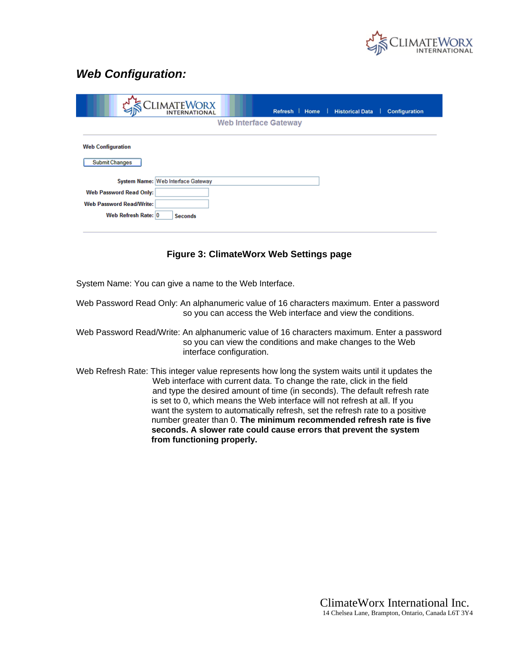

## *Web Configuration:*

|                                                   | CLIMATEWORX    | Refresh   Home               | <b>Historical Data</b><br>◀▶<br>- 1 | <b>Configuration</b> |
|---------------------------------------------------|----------------|------------------------------|-------------------------------------|----------------------|
|                                                   |                | <b>Web Interface Gateway</b> |                                     |                      |
| <b>Web Configuration</b><br><b>Submit Changes</b> |                |                              |                                     |                      |
| System Name: Web Interface Gateway                |                |                              |                                     |                      |
| <b>Web Password Read Only:</b>                    |                |                              |                                     |                      |
| <b>Web Password Read/Write:</b>                   |                |                              |                                     |                      |
| Web Refresh Rate: 0                               | <b>Seconds</b> |                              |                                     |                      |
|                                                   |                |                              |                                     |                      |

## **Figure 3: ClimateWorx Web Settings page**

System Name: You can give a name to the Web Interface.

Web Password Read Only: An alphanumeric value of 16 characters maximum. Enter a password so you can access the Web interface and view the conditions.

Web Password Read/Write: An alphanumeric value of 16 characters maximum. Enter a password so you can view the conditions and make changes to the Web interface configuration.

Web Refresh Rate: This integer value represents how long the system waits until it updates the Web interface with current data. To change the rate, click in the field and type the desired amount of time (in seconds). The default refresh rate is set to 0, which means the Web interface will not refresh at all. If you want the system to automatically refresh, set the refresh rate to a positive number greater than 0. **The minimum recommended refresh rate is five seconds. A slower rate could cause errors that prevent the system from functioning properly.**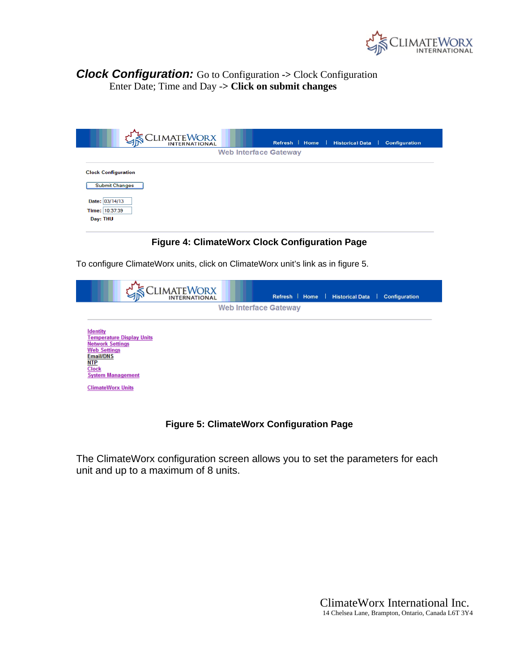

## *Clock Configuration:* Go to Configuration **->** Clock Configuration Enter Date; Time and Day -**> Click on submit changes**

|                                                                                                     | CLIMATEWORX |                              | Refresh   Home | <b>Historical Data</b> | Configuration |
|-----------------------------------------------------------------------------------------------------|-------------|------------------------------|----------------|------------------------|---------------|
|                                                                                                     |             | <b>Web Interface Gateway</b> |                |                        |               |
| <b>Clock Configuration</b><br><b>Submit Changes</b><br>Date: 03/14/13<br>Time: 10:37:39<br>Day: THU |             |                              |                |                        |               |

## **Figure 4: ClimateWorx Clock Configuration Page**

To configure ClimateWorx units, click on ClimateWorx unit's link as in figure 5.

|                                                                                                                                                                             |                                  | CLIMATEWORX |                              | Refresh   Home   Historical Data | Configuration |
|-----------------------------------------------------------------------------------------------------------------------------------------------------------------------------|----------------------------------|-------------|------------------------------|----------------------------------|---------------|
|                                                                                                                                                                             |                                  |             | <b>Web Interface Gateway</b> |                                  |               |
| <b>Identity</b><br><b>Network Settings</b><br><b>Web Settings</b><br><b>Email/DNS</b><br><u>NTP</u><br><b>Clock</b><br><b>System Management</b><br><b>ClimateWorx Units</b> | <b>Femperature Display Units</b> |             |                              |                                  |               |

## **Figure 5: ClimateWorx Configuration Page**

The ClimateWorx configuration screen allows you to set the parameters for each unit and up to a maximum of 8 units.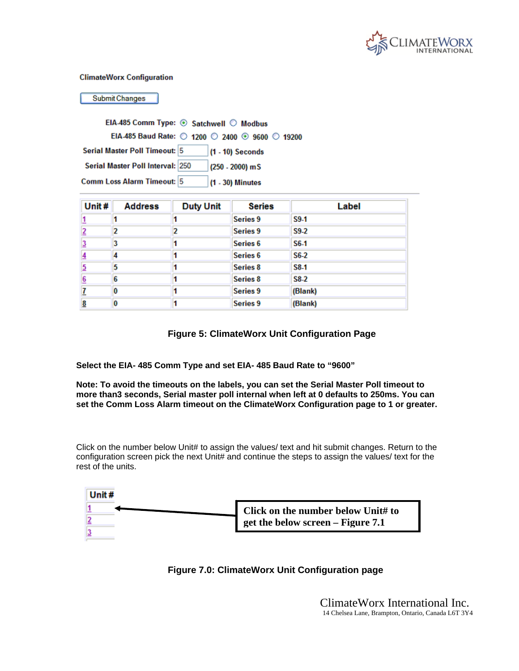

#### **ClimateWorx Configuration**

**Submit Changes** 

| EIA-485 Comm Type: ⊙ Satchwell © Modbus         |                    |  |
|-------------------------------------------------|--------------------|--|
| EIA-485 Baud Rate: ◯ 1200 ◯ 2400 ⊙ 9600 ◯ 19200 |                    |  |
| Serial Master Poll Timeout: 5                   | $(1 - 10)$ Seconds |  |
| Serial Master Poll Interval: 250                | $(250 - 2000)$ mS  |  |
| Comm Loss Alarm Timeout: 5                      | (1 - 30) Minutes   |  |

| Unit#          | <b>Address</b> | <b>Duty Unit</b> | <b>Series</b>       | Label   |
|----------------|----------------|------------------|---------------------|---------|
| L              |                |                  | Series 9            | S9-1    |
| $\overline{2}$ |                |                  | Series 9            | S9-2    |
| 3              | 3              |                  | Series <sub>6</sub> | $S6-1$  |
| 4              |                |                  | Series <sub>6</sub> | $S6-2$  |
| 5              | 5              |                  | <b>Series 8</b>     | S8-1    |
| 6              | 6              |                  | Series <sub>8</sub> | $S8-2$  |
|                | 0              |                  | Series 9            | (Blank) |
| 8              | 0              |                  | <b>Series 9</b>     | (Blank) |

## **Figure 5: ClimateWorx Unit Configuration Page**

**Select the EIA- 485 Comm Type and set EIA- 485 Baud Rate to "9600"** 

**Note: To avoid the timeouts on the labels, you can set the Serial Master Poll timeout to more than3 seconds, Serial master poll internal when left at 0 defaults to 250ms. You can set the Comm Loss Alarm timeout on the ClimateWorx Configuration page to 1 or greater.**

Click on the number below Unit# to assign the values/ text and hit submit changes. Return to the configuration screen pick the next Unit# and continue the steps to assign the values/ text for the rest of the units.

| Click on the number below Unit# to |
|------------------------------------|
| get the below screen – Figure 7.1  |
|                                    |

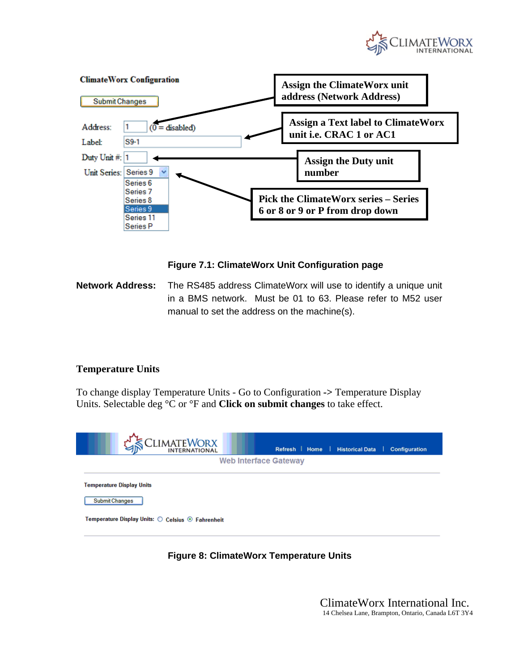





**Network Address:** The RS485 address ClimateWorx will use to identify a unique unit in a BMS network. Must be 01 to 63. Please refer to M52 user manual to set the address on the machine(s).

## **Temperature Units**

To change display Temperature Units - Go to Configuration **->** Temperature Display Units. Selectable deg °C or °F and **Click on submit changes** to take effect.



## **Figure 8: ClimateWorx Temperature Units**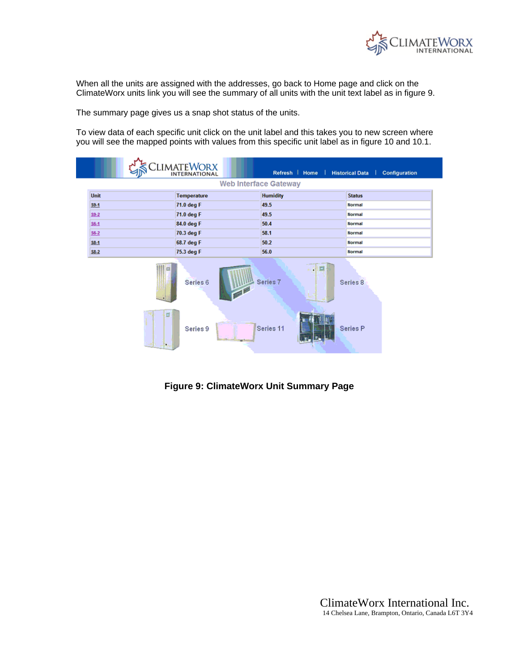

When all the units are assigned with the addresses, go back to Home page and click on the ClimateWorx units link you will see the summary of all units with the unit text label as in figure 9.

The summary page gives us a snap shot status of the units.

To view data of each specific unit click on the unit label and this takes you to new screen where you will see the mapped points with values from this specific unit label as in figure 10 and 10.1.

|        | <b>SECLIMATEWORX</b> |                              | Refresh   Home   Historical Data   Configuration |
|--------|----------------------|------------------------------|--------------------------------------------------|
|        |                      | <b>Web Interface Gateway</b> |                                                  |
| Unit   | Temperature          | <b>Humidity</b>              | <b>Status</b>                                    |
| $59-1$ | 71.0 deg F           | 49.5                         | <b>Normal</b>                                    |
| $S9-2$ | 71.0 deg F           | 49.5                         | <b>Normal</b>                                    |
| $S6-1$ | 84.0 deg F           | 50.4                         | <b>Normal</b>                                    |
| $S6-2$ | 70.3 deg F           | 58.1                         | <b>Normal</b>                                    |
| $S8-1$ | 68.7 deg F           | 50.2                         | <b>Normal</b>                                    |
| $S8-2$ | 75.3 deg F           | 56.0                         | <b>Normal</b>                                    |
|        |                      |                              |                                                  |



**Figure 9: ClimateWorx Unit Summary Page**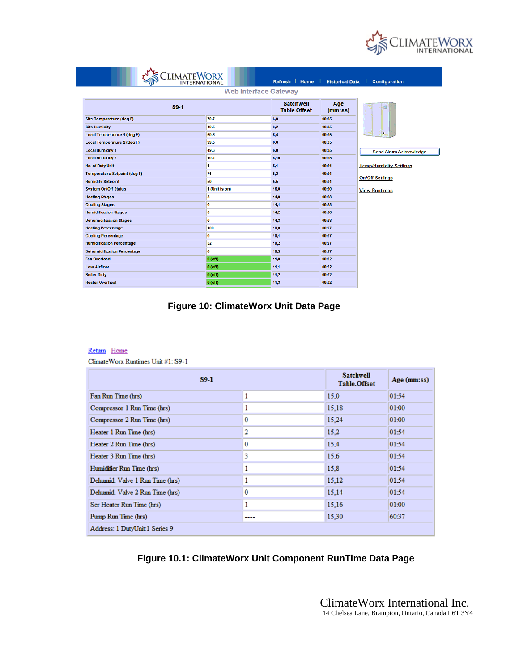

| ClimateWorx                         |                              | Refresh   Home                          | <b>Historical Data</b> | <b>Configuration</b>          |
|-------------------------------------|------------------------------|-----------------------------------------|------------------------|-------------------------------|
|                                     | <b>Web Interface Gateway</b> |                                         |                        |                               |
| $S9-1$                              |                              | <b>Satchwell</b><br><b>Table.Offset</b> | Age<br>(mm:ss)         | d                             |
| Site Temperature (deg F)            | 70.7                         | 6,0                                     | 00:35                  |                               |
| <b>Site Humidity</b>                | 49.5                         | 6.2                                     | 00:35                  |                               |
| <b>Local Temperature 1 (deg F)</b>  | 60.6                         | 6,4                                     | 00:35                  |                               |
| <b>Local Temperature 2 (deg F)</b>  | 99.5                         | 6.6                                     | 00:35                  |                               |
| <b>Local Humidity 1</b>             | 49.6                         | 6.8                                     | 00:35                  | Send Alarm Acknowledge        |
| <b>Local Humidity 2</b>             | 10.1                         | 6,10                                    | 00:35                  |                               |
| <b>No. of Duty Unit</b>             | 1                            | 5,1                                     | 00:31                  | <b>Temp/Humidity Settings</b> |
| <b>Temperature Setpoint (deg F)</b> | 71                           | 5,2                                     | 00:31                  |                               |
| <b>Humidity Setpoint</b>            | 50                           | 5,5                                     | 00:31                  | <b>On/Off Settings</b>        |
| <b>System On/Off Status</b>         | 1 (Unit is on)               | 16,0                                    | 00:30                  | <b>View Runtimes</b>          |
| <b>Heating Stages</b>               | 3                            | 14,0                                    | 00:28                  |                               |
| <b>Cooling Stages</b>               | o                            | 14,1                                    | 00:28                  |                               |
| <b>Humidification Stages</b>        | $\mathbf 0$                  | 14,2                                    | 00:28                  |                               |
| <b>Dehumidification Stages</b>      | o                            | 14,3                                    | 00:28                  |                               |
| <b>Heating Percentage</b>           | 100                          | 10,0                                    | 00:27                  |                               |
| <b>Cooling Percentage</b>           | $\bf{0}$                     | 10,1                                    | 00:27                  |                               |
| <b>Humidification Percentage</b>    | 52                           | 10,2                                    | 00:27                  |                               |
| <b>Dehumidification Percentage</b>  | $\bf{0}$                     | 10.3                                    | 00:27                  |                               |
| <b>Fan Overload</b>                 | $0($ off $)$                 | 11,0                                    | 00:32                  |                               |
| <b>Low Airflow</b>                  | $0($ off $)$                 | 11,1                                    | 00:32                  |                               |
| <b>Boiler Dirty</b>                 | $0($ off $)$                 | 11,2                                    | 00:32                  |                               |
| <b>Heater Overheat</b>              | $0($ off $)$                 | 11,3                                    | 00:32                  |                               |

## **Figure 10: ClimateWorx Unit Data Page**

#### Return Home

Climate Worx Runtimes Unit #1: S9-1

| $S9-1$                          | <b>Satchwell</b><br><b>Table.Offset</b> | Age (mm:ss) |       |
|---------------------------------|-----------------------------------------|-------------|-------|
| Fan Run Time (hrs)              | 1                                       | 15.0        | 01:54 |
| Compressor 1 Run Time (hrs)     |                                         | 15,18       | 01:00 |
| Compressor 2 Run Time (hrs)     | 0                                       | 15.24       | 01:00 |
| Heater 1 Run Time (hrs)         | 2                                       | 15,2        | 01:54 |
| Heater 2 Run Time (hrs)         | 0                                       | 15,4        | 01:54 |
| Heater 3 Run Time (hrs)         | 3                                       | 15.6        | 01:54 |
| Humidifier Run Time (hrs)       |                                         | 15,8        | 01:54 |
| Dehumid. Valve 1 Run Time (hrs) |                                         | 15,12       | 01:54 |
| Dehumid. Valve 2 Run Time (hrs) | 0                                       | 15.14       | 01:54 |
| Scr Heater Run Time (hrs)       |                                         | 15,16       | 01:00 |
| Pump Run Time (hrs)             | ----                                    | 15,30       | 60:37 |
| Address: 1 DutyUnit 1 Series 9  |                                         |             |       |

## **Figure 10.1: ClimateWorx Unit Component RunTime Data Page**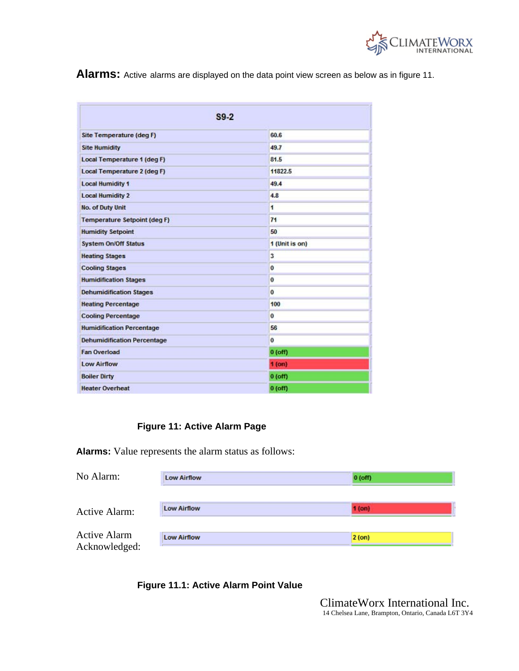

**Alarms:** Active alarms are displayed on the data point view screen as below as in figure 11.

| $S9-2$                              |                |  |  |  |
|-------------------------------------|----------------|--|--|--|
| Site Temperature (deg F)            | 60.6           |  |  |  |
| <b>Site Humidity</b>                | 49.7           |  |  |  |
| Local Temperature 1 (deg F)         | 81.5           |  |  |  |
| Local Temperature 2 (deg F)         | 11822.5        |  |  |  |
| <b>Local Humidity 1</b>             | 49.4           |  |  |  |
| <b>Local Humidity 2</b>             | 4.8            |  |  |  |
| No. of Duty Unit                    | 1              |  |  |  |
| <b>Temperature Setpoint (deg F)</b> | 71             |  |  |  |
| <b>Humidity Setpoint</b>            | 50             |  |  |  |
| <b>System On/Off Status</b>         | 1 (Unit is on) |  |  |  |
| <b>Heating Stages</b>               | 3              |  |  |  |
| <b>Cooling Stages</b>               | $\bf{0}$       |  |  |  |
| <b>Humidification Stages</b>        | 0              |  |  |  |
| <b>Dehumidification Stages</b>      | $\bf{0}$       |  |  |  |
| <b>Heating Percentage</b>           | 100            |  |  |  |
| <b>Cooling Percentage</b>           | $\bf{o}$       |  |  |  |
| <b>Humidification Percentage</b>    | 56             |  |  |  |
| <b>Dehumidification Percentage</b>  | $\bf o$        |  |  |  |
| <b>Fan Overload</b>                 | $0($ off $)$   |  |  |  |
| <b>Low Airflow</b>                  | 1 (on)         |  |  |  |
| <b>Boiler Dirty</b>                 | $0($ off $)$   |  |  |  |
| <b>Heater Overheat</b>              | $0($ off $)$   |  |  |  |

## **Figure 11: Active Alarm Page**

**Alarms:** Value represents the alarm status as follows:

| No Alarm:                            | Low Airflow        | $0($ off $)$ |  |
|--------------------------------------|--------------------|--------------|--|
| Active Alarm:                        | <b>Low Airflow</b> | 1 (on)       |  |
| <b>Active Alarm</b><br>Acknowledged: | <b>Low Airflow</b> | $2($ on $)$  |  |

## **Figure 11.1: Active Alarm Point Value**